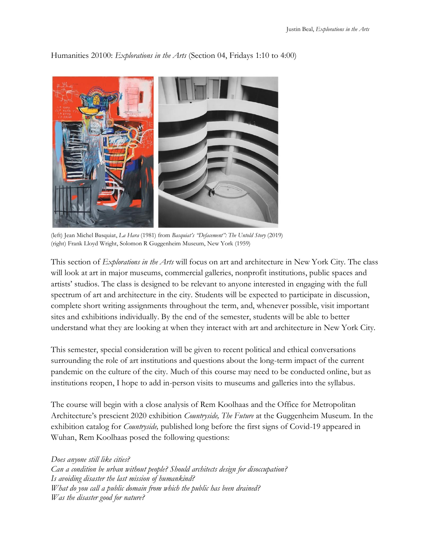

Humanities 20100: *Explorations in the Arts* (Section 04, Fridays 1:10 to 4:00)

(left) Jean Michel Basquiat, *La Hara* (1981) from *Basquiat's "Defacement": The Untold Story* (2019) (right) Frank Lloyd Wright, Solomon R Guggenheim Museum, New York (1959)

This section of *Explorations in the Arts* will focus on art and architecture in New York City. The class will look at art in major museums, commercial galleries, nonprofit institutions, public spaces and artists' studios. The class is designed to be relevant to anyone interested in engaging with the full spectrum of art and architecture in the city. Students will be expected to participate in discussion, complete short writing assignments throughout the term, and, whenever possible, visit important sites and exhibitions individually. By the end of the semester, students will be able to better understand what they are looking at when they interact with art and architecture in New York City.

This semester, special consideration will be given to recent political and ethical conversations surrounding the role of art institutions and questions about the long-term impact of the current pandemic on the culture of the city. Much of this course may need to be conducted online, but as institutions reopen, I hope to add in-person visits to museums and galleries into the syllabus.

The course will begin with a close analysis of Rem Koolhaas and the Office for Metropolitan Architecture's prescient 2020 exhibition *Countryside, The Future* at the Guggenheim Museum. In the exhibition catalog for *Countryside,* published long before the first signs of Covid-19 appeared in Wuhan, Rem Koolhaas posed the following questions:

## *Does anyone still like cities?*

*Can a condition be urban without people? Should architects design for disoccupation? Is avoiding disaster the last mission of humankind? What do you call a public domain from which the public has been drained? Was the disaster good for nature?*